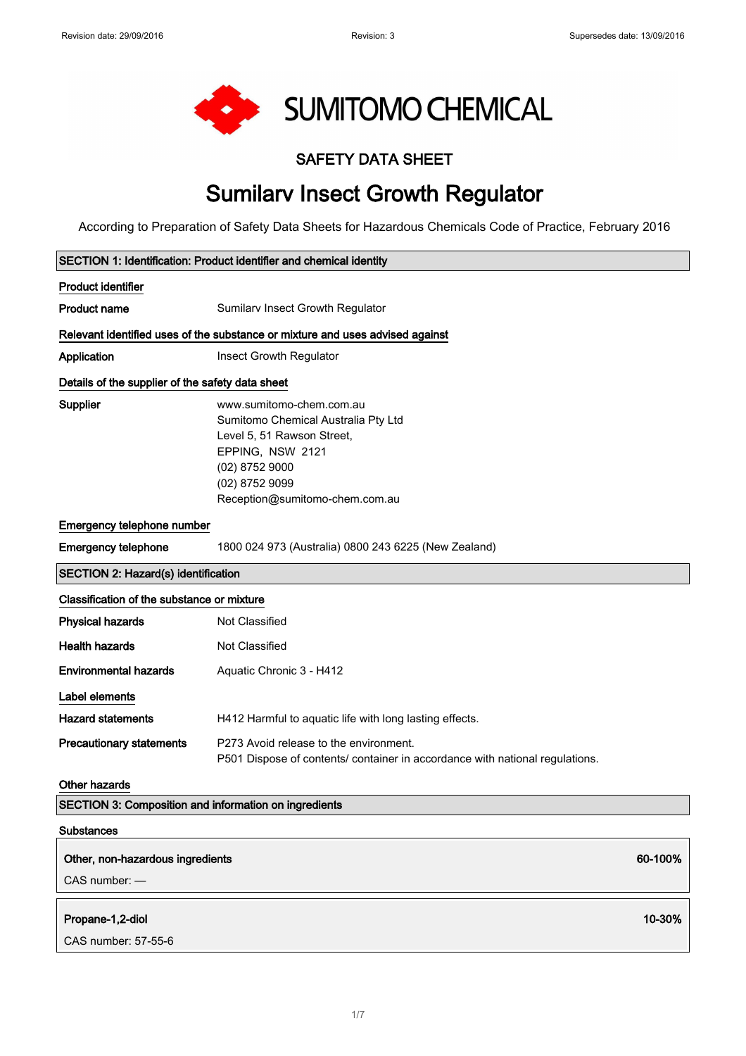

#### SAFETY DATA SHEET

# Sumilarv Insect Growth Regulator

According to Preparation of Safety Data Sheets for Hazardous Chemicals Code of Practice, February 2016

|                                                       |                                                                                                                                                                                         | SECTION 1: Identification: Product identifier and chemical identity |  |
|-------------------------------------------------------|-----------------------------------------------------------------------------------------------------------------------------------------------------------------------------------------|---------------------------------------------------------------------|--|
| <b>Product identifier</b>                             |                                                                                                                                                                                         |                                                                     |  |
| <b>Product name</b>                                   | Sumilarv Insect Growth Regulator                                                                                                                                                        |                                                                     |  |
|                                                       | Relevant identified uses of the substance or mixture and uses advised against                                                                                                           |                                                                     |  |
| Application                                           | Insect Growth Regulator                                                                                                                                                                 |                                                                     |  |
| Details of the supplier of the safety data sheet      |                                                                                                                                                                                         |                                                                     |  |
| Supplier                                              | www.sumitomo-chem.com.au<br>Sumitomo Chemical Australia Pty Ltd<br>Level 5, 51 Rawson Street,<br>EPPING, NSW 2121<br>(02) 8752 9000<br>(02) 8752 9099<br>Reception@sumitomo-chem.com.au |                                                                     |  |
| Emergency telephone number                            |                                                                                                                                                                                         |                                                                     |  |
| <b>Emergency telephone</b>                            | 1800 024 973 (Australia) 0800 243 6225 (New Zealand)                                                                                                                                    |                                                                     |  |
| <b>SECTION 2: Hazard(s) identification</b>            |                                                                                                                                                                                         |                                                                     |  |
| Classification of the substance or mixture            |                                                                                                                                                                                         |                                                                     |  |
| <b>Physical hazards</b>                               | Not Classified                                                                                                                                                                          |                                                                     |  |
| <b>Health hazards</b>                                 | Not Classified                                                                                                                                                                          |                                                                     |  |
| <b>Environmental hazards</b>                          | Aquatic Chronic 3 - H412                                                                                                                                                                |                                                                     |  |
| Label elements                                        |                                                                                                                                                                                         |                                                                     |  |
| <b>Hazard statements</b>                              | H412 Harmful to aquatic life with long lasting effects.                                                                                                                                 |                                                                     |  |
| <b>Precautionary statements</b>                       | P273 Avoid release to the environment.<br>P501 Dispose of contents/ container in accordance with national regulations.                                                                  |                                                                     |  |
| <b>Other hazards</b>                                  |                                                                                                                                                                                         |                                                                     |  |
| SECTION 3: Composition and information on ingredients |                                                                                                                                                                                         |                                                                     |  |
| <b>Substances</b>                                     |                                                                                                                                                                                         |                                                                     |  |
| Other, non-hazardous ingredients                      |                                                                                                                                                                                         | 60-100%                                                             |  |
| CAS number: -                                         |                                                                                                                                                                                         |                                                                     |  |
| Propane-1,2-diol                                      |                                                                                                                                                                                         | 10-30%                                                              |  |
| CAS number: 57-55-6                                   |                                                                                                                                                                                         |                                                                     |  |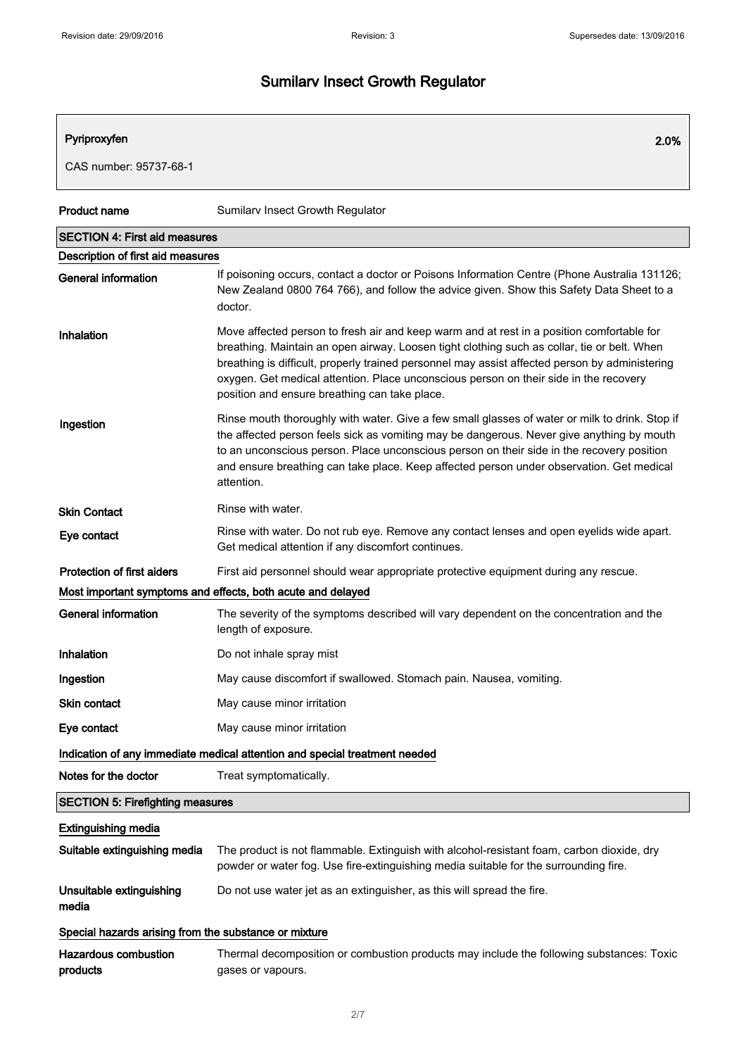#### Pyriproxyfen 2.0%

CAS number: 95737-68-1

| <b>Product name</b>                                   | Sumilarv Insect Growth Regulator                                                                                                                                                                                                                                                                                                                                                                                                     |  |
|-------------------------------------------------------|--------------------------------------------------------------------------------------------------------------------------------------------------------------------------------------------------------------------------------------------------------------------------------------------------------------------------------------------------------------------------------------------------------------------------------------|--|
| <b>SECTION 4: First aid measures</b>                  |                                                                                                                                                                                                                                                                                                                                                                                                                                      |  |
| Description of first aid measures                     |                                                                                                                                                                                                                                                                                                                                                                                                                                      |  |
| <b>General information</b>                            | If poisoning occurs, contact a doctor or Poisons Information Centre (Phone Australia 131126;<br>New Zealand 0800 764 766), and follow the advice given. Show this Safety Data Sheet to a<br>doctor.                                                                                                                                                                                                                                  |  |
| Inhalation                                            | Move affected person to fresh air and keep warm and at rest in a position comfortable for<br>breathing. Maintain an open airway. Loosen tight clothing such as collar, tie or belt. When<br>breathing is difficult, properly trained personnel may assist affected person by administering<br>oxygen. Get medical attention. Place unconscious person on their side in the recovery<br>position and ensure breathing can take place. |  |
| Ingestion                                             | Rinse mouth thoroughly with water. Give a few small glasses of water or milk to drink. Stop if<br>the affected person feels sick as vomiting may be dangerous. Never give anything by mouth<br>to an unconscious person. Place unconscious person on their side in the recovery position<br>and ensure breathing can take place. Keep affected person under observation. Get medical<br>attention.                                   |  |
| <b>Skin Contact</b>                                   | Rinse with water.                                                                                                                                                                                                                                                                                                                                                                                                                    |  |
| Eye contact                                           | Rinse with water. Do not rub eye. Remove any contact lenses and open eyelids wide apart.<br>Get medical attention if any discomfort continues.                                                                                                                                                                                                                                                                                       |  |
| <b>Protection of first aiders</b>                     | First aid personnel should wear appropriate protective equipment during any rescue.                                                                                                                                                                                                                                                                                                                                                  |  |
|                                                       | Most important symptoms and effects, both acute and delayed                                                                                                                                                                                                                                                                                                                                                                          |  |
| General information                                   | The severity of the symptoms described will vary dependent on the concentration and the<br>length of exposure.                                                                                                                                                                                                                                                                                                                       |  |
| Inhalation                                            | Do not inhale spray mist                                                                                                                                                                                                                                                                                                                                                                                                             |  |
| Ingestion                                             | May cause discomfort if swallowed. Stomach pain. Nausea, vomiting.                                                                                                                                                                                                                                                                                                                                                                   |  |
| <b>Skin contact</b>                                   | May cause minor irritation                                                                                                                                                                                                                                                                                                                                                                                                           |  |
| Eye contact                                           | May cause minor irritation                                                                                                                                                                                                                                                                                                                                                                                                           |  |
|                                                       | Indication of any immediate medical attention and special treatment needed                                                                                                                                                                                                                                                                                                                                                           |  |
| Notes for the doctor                                  | Treat symptomatically.                                                                                                                                                                                                                                                                                                                                                                                                               |  |
| <b>SECTION 5: Firefighting measures</b>               |                                                                                                                                                                                                                                                                                                                                                                                                                                      |  |
| <b>Extinguishing media</b>                            |                                                                                                                                                                                                                                                                                                                                                                                                                                      |  |
| Suitable extinguishing media                          | The product is not flammable. Extinguish with alcohol-resistant foam, carbon dioxide, dry<br>powder or water fog. Use fire-extinguishing media suitable for the surrounding fire.                                                                                                                                                                                                                                                    |  |
| Unsuitable extinguishing<br>media                     | Do not use water jet as an extinguisher, as this will spread the fire.                                                                                                                                                                                                                                                                                                                                                               |  |
| Special hazards arising from the substance or mixture |                                                                                                                                                                                                                                                                                                                                                                                                                                      |  |
| <b>Hazardous combustion</b><br>products               | Thermal decomposition or combustion products may include the following substances: Toxic<br>gases or vapours.                                                                                                                                                                                                                                                                                                                        |  |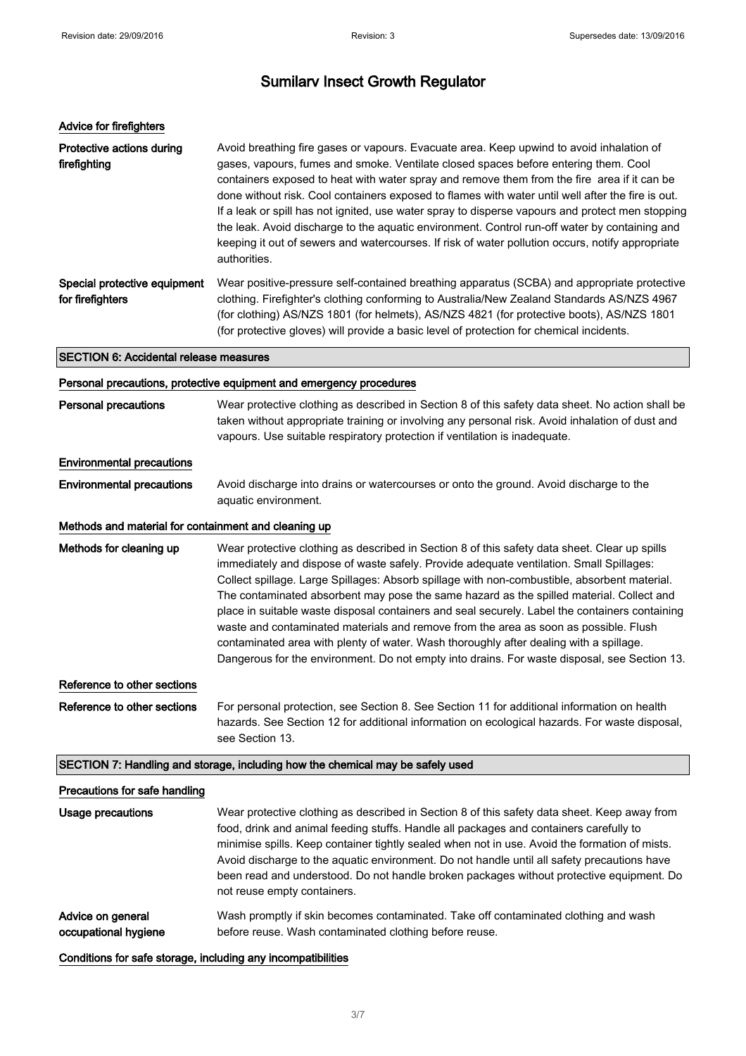| Advice for firefighters                              |                                                                                                                                                                                                                                                                                                                                                                                                                                                                                                                                                                                                                                                                                                                                                                          |
|------------------------------------------------------|--------------------------------------------------------------------------------------------------------------------------------------------------------------------------------------------------------------------------------------------------------------------------------------------------------------------------------------------------------------------------------------------------------------------------------------------------------------------------------------------------------------------------------------------------------------------------------------------------------------------------------------------------------------------------------------------------------------------------------------------------------------------------|
| Protective actions during<br>firefighting            | Avoid breathing fire gases or vapours. Evacuate area. Keep upwind to avoid inhalation of<br>gases, vapours, fumes and smoke. Ventilate closed spaces before entering them. Cool<br>containers exposed to heat with water spray and remove them from the fire area if it can be<br>done without risk. Cool containers exposed to flames with water until well after the fire is out.<br>If a leak or spill has not ignited, use water spray to disperse vapours and protect men stopping<br>the leak. Avoid discharge to the aquatic environment. Control run-off water by containing and<br>keeping it out of sewers and watercourses. If risk of water pollution occurs, notify appropriate<br>authorities.                                                             |
| Special protective equipment<br>for firefighters     | Wear positive-pressure self-contained breathing apparatus (SCBA) and appropriate protective<br>clothing. Firefighter's clothing conforming to Australia/New Zealand Standards AS/NZS 4967<br>(for clothing) AS/NZS 1801 (for helmets), AS/NZS 4821 (for protective boots), AS/NZS 1801<br>(for protective gloves) will provide a basic level of protection for chemical incidents.                                                                                                                                                                                                                                                                                                                                                                                       |
| <b>SECTION 6: Accidental release measures</b>        |                                                                                                                                                                                                                                                                                                                                                                                                                                                                                                                                                                                                                                                                                                                                                                          |
|                                                      | Personal precautions, protective equipment and emergency procedures                                                                                                                                                                                                                                                                                                                                                                                                                                                                                                                                                                                                                                                                                                      |
| <b>Personal precautions</b>                          | Wear protective clothing as described in Section 8 of this safety data sheet. No action shall be<br>taken without appropriate training or involving any personal risk. Avoid inhalation of dust and<br>vapours. Use suitable respiratory protection if ventilation is inadequate.                                                                                                                                                                                                                                                                                                                                                                                                                                                                                        |
| <b>Environmental precautions</b>                     |                                                                                                                                                                                                                                                                                                                                                                                                                                                                                                                                                                                                                                                                                                                                                                          |
| <b>Environmental precautions</b>                     | Avoid discharge into drains or watercourses or onto the ground. Avoid discharge to the<br>aquatic environment.                                                                                                                                                                                                                                                                                                                                                                                                                                                                                                                                                                                                                                                           |
| Methods and material for containment and cleaning up |                                                                                                                                                                                                                                                                                                                                                                                                                                                                                                                                                                                                                                                                                                                                                                          |
| Methods for cleaning up                              | Wear protective clothing as described in Section 8 of this safety data sheet. Clear up spills<br>immediately and dispose of waste safely. Provide adequate ventilation. Small Spillages:<br>Collect spillage. Large Spillages: Absorb spillage with non-combustible, absorbent material.<br>The contaminated absorbent may pose the same hazard as the spilled material. Collect and<br>place in suitable waste disposal containers and seal securely. Label the containers containing<br>waste and contaminated materials and remove from the area as soon as possible. Flush<br>contaminated area with plenty of water. Wash thoroughly after dealing with a spillage.<br>Dangerous for the environment. Do not empty into drains. For waste disposal, see Section 13. |
| Reference to other sections                          |                                                                                                                                                                                                                                                                                                                                                                                                                                                                                                                                                                                                                                                                                                                                                                          |
| Reference to other sections                          | For personal protection, see Section 8. See Section 11 for additional information on health<br>hazards. See Section 12 for additional information on ecological hazards. For waste disposal,<br>see Section 13.                                                                                                                                                                                                                                                                                                                                                                                                                                                                                                                                                          |
|                                                      | SECTION 7: Handling and storage, including how the chemical may be safely used                                                                                                                                                                                                                                                                                                                                                                                                                                                                                                                                                                                                                                                                                           |
| Precautions for safe handling                        |                                                                                                                                                                                                                                                                                                                                                                                                                                                                                                                                                                                                                                                                                                                                                                          |
| <b>Usage precautions</b>                             | Wear protective clothing as described in Section 8 of this safety data sheet. Keep away from<br>food, drink and animal feeding stuffs. Handle all packages and containers carefully to<br>minimise spills. Keep container tightly sealed when not in use. Avoid the formation of mists.<br>Avoid discharge to the aquatic environment. Do not handle until all safety precautions have<br>been read and understood. Do not handle broken packages without protective equipment. Do<br>not reuse empty containers.                                                                                                                                                                                                                                                        |
| Advice on general<br>occupational hygiene            | Wash promptly if skin becomes contaminated. Take off contaminated clothing and wash<br>before reuse. Wash contaminated clothing before reuse.                                                                                                                                                                                                                                                                                                                                                                                                                                                                                                                                                                                                                            |

Conditions for safe storage, including any incompatibilities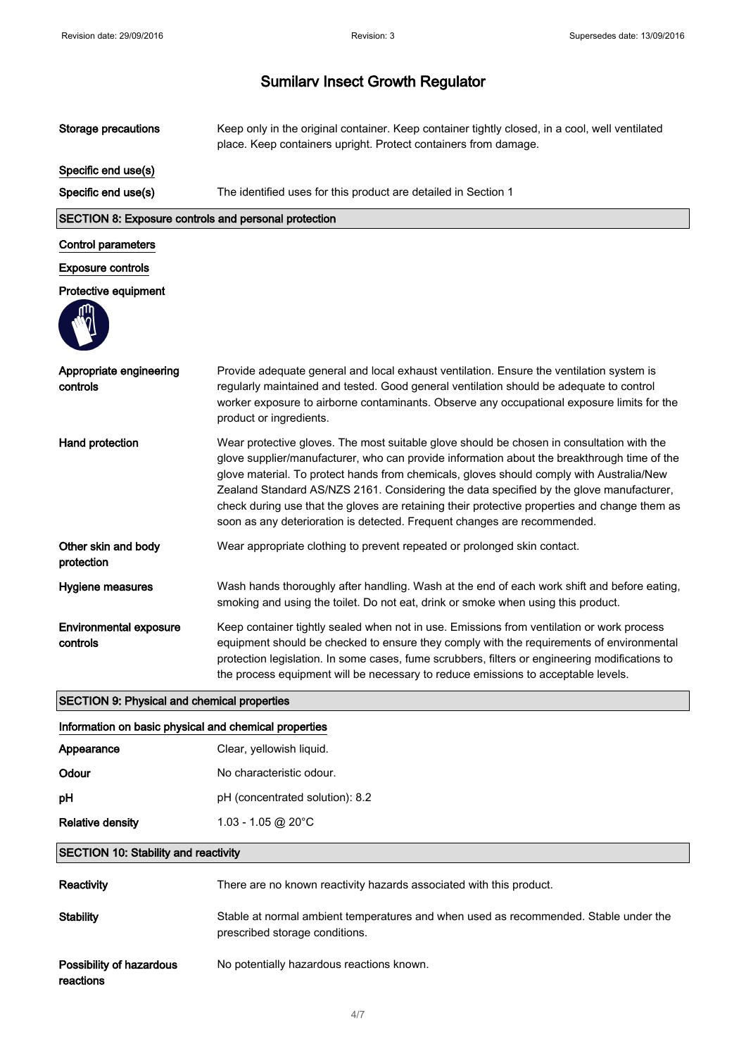| <b>Storage precautions</b>                            | Keep only in the original container. Keep container tightly closed, in a cool, well ventilated<br>place. Keep containers upright. Protect containers from damage.                                                                                                                                                                                                                                                                                                                                                                                            |  |
|-------------------------------------------------------|--------------------------------------------------------------------------------------------------------------------------------------------------------------------------------------------------------------------------------------------------------------------------------------------------------------------------------------------------------------------------------------------------------------------------------------------------------------------------------------------------------------------------------------------------------------|--|
| Specific end use(s)                                   |                                                                                                                                                                                                                                                                                                                                                                                                                                                                                                                                                              |  |
| Specific end use(s)                                   | The identified uses for this product are detailed in Section 1                                                                                                                                                                                                                                                                                                                                                                                                                                                                                               |  |
| SECTION 8: Exposure controls and personal protection  |                                                                                                                                                                                                                                                                                                                                                                                                                                                                                                                                                              |  |
| <b>Control parameters</b>                             |                                                                                                                                                                                                                                                                                                                                                                                                                                                                                                                                                              |  |
| <b>Exposure controls</b>                              |                                                                                                                                                                                                                                                                                                                                                                                                                                                                                                                                                              |  |
| Protective equipment                                  |                                                                                                                                                                                                                                                                                                                                                                                                                                                                                                                                                              |  |
|                                                       |                                                                                                                                                                                                                                                                                                                                                                                                                                                                                                                                                              |  |
| Appropriate engineering<br>controls                   | Provide adequate general and local exhaust ventilation. Ensure the ventilation system is<br>regularly maintained and tested. Good general ventilation should be adequate to control<br>worker exposure to airborne contaminants. Observe any occupational exposure limits for the<br>product or ingredients.                                                                                                                                                                                                                                                 |  |
| Hand protection                                       | Wear protective gloves. The most suitable glove should be chosen in consultation with the<br>glove supplier/manufacturer, who can provide information about the breakthrough time of the<br>glove material. To protect hands from chemicals, gloves should comply with Australia/New<br>Zealand Standard AS/NZS 2161. Considering the data specified by the glove manufacturer,<br>check during use that the gloves are retaining their protective properties and change them as<br>soon as any deterioration is detected. Frequent changes are recommended. |  |
| Other skin and body<br>protection                     | Wear appropriate clothing to prevent repeated or prolonged skin contact.                                                                                                                                                                                                                                                                                                                                                                                                                                                                                     |  |
| Hygiene measures                                      | Wash hands thoroughly after handling. Wash at the end of each work shift and before eating,<br>smoking and using the toilet. Do not eat, drink or smoke when using this product.                                                                                                                                                                                                                                                                                                                                                                             |  |
| <b>Environmental exposure</b><br>controls             | Keep container tightly sealed when not in use. Emissions from ventilation or work process<br>equipment should be checked to ensure they comply with the requirements of environmental<br>protection legislation. In some cases, fume scrubbers, filters or engineering modifications to<br>the process equipment will be necessary to reduce emissions to acceptable levels.                                                                                                                                                                                 |  |
| <b>SECTION 9: Physical and chemical properties</b>    |                                                                                                                                                                                                                                                                                                                                                                                                                                                                                                                                                              |  |
| Information on basic physical and chemical properties |                                                                                                                                                                                                                                                                                                                                                                                                                                                                                                                                                              |  |
| Appearance                                            | Clear, yellowish liquid.                                                                                                                                                                                                                                                                                                                                                                                                                                                                                                                                     |  |
| Odour                                                 | No characteristic odour.                                                                                                                                                                                                                                                                                                                                                                                                                                                                                                                                     |  |
| рH                                                    | pH (concentrated solution): 8.2                                                                                                                                                                                                                                                                                                                                                                                                                                                                                                                              |  |
| <b>Relative density</b>                               | 1.03 - 1.05 @ 20°C                                                                                                                                                                                                                                                                                                                                                                                                                                                                                                                                           |  |
| <b>SECTION 10: Stability and reactivity</b>           |                                                                                                                                                                                                                                                                                                                                                                                                                                                                                                                                                              |  |
| Reactivity                                            | There are no known reactivity hazards associated with this product.                                                                                                                                                                                                                                                                                                                                                                                                                                                                                          |  |
| <b>Stability</b>                                      | Stable at normal ambient temperatures and when used as recommended. Stable under the<br>prescribed storage conditions.                                                                                                                                                                                                                                                                                                                                                                                                                                       |  |
| Possibility of hazardous<br>reactions                 | No potentially hazardous reactions known.                                                                                                                                                                                                                                                                                                                                                                                                                                                                                                                    |  |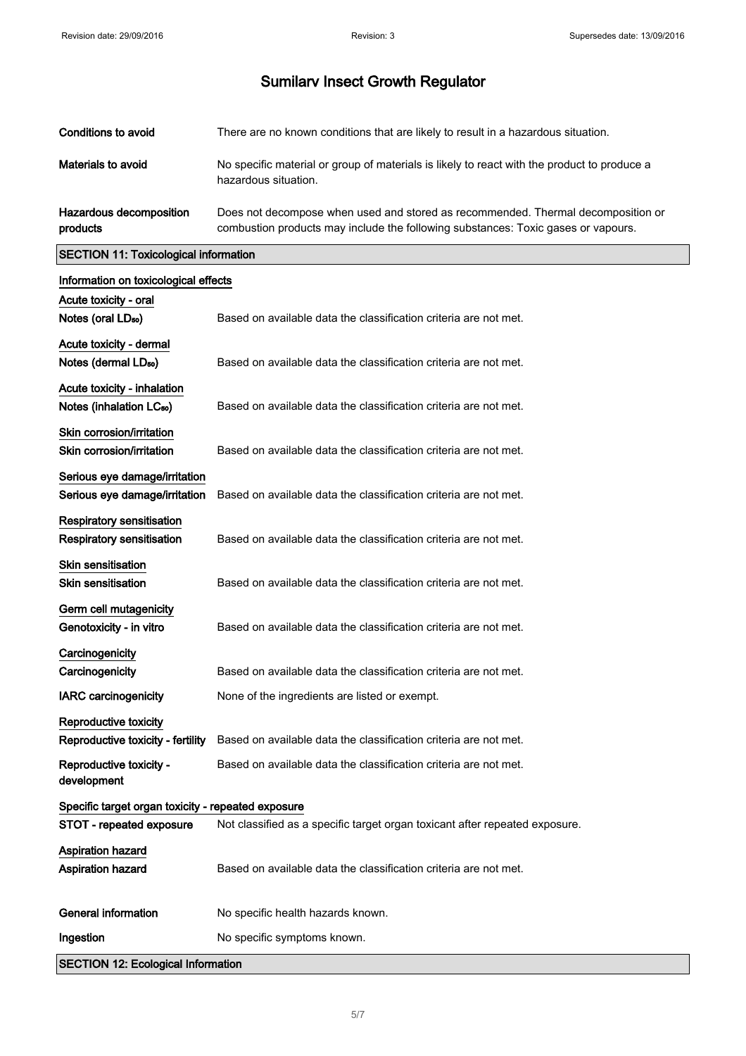| Conditions to avoid                 | There are no known conditions that are likely to result in a hazardous situation.                                                                                     |
|-------------------------------------|-----------------------------------------------------------------------------------------------------------------------------------------------------------------------|
| Materials to avoid                  | No specific material or group of materials is likely to react with the product to produce a<br>hazardous situation.                                                   |
| Hazardous decomposition<br>products | Does not decompose when used and stored as recommended. Thermal decomposition or<br>combustion products may include the following substances: Toxic gases or vapours. |

#### SECTION 11: Toxicological information

| Information on toxicological effects               |                                                                             |  |
|----------------------------------------------------|-----------------------------------------------------------------------------|--|
| Acute toxicity - oral                              |                                                                             |  |
| Notes (oral LD <sub>50</sub> )                     | Based on available data the classification criteria are not met.            |  |
| Acute toxicity - dermal                            |                                                                             |  |
| Notes (dermal LD <sub>50</sub> )                   | Based on available data the classification criteria are not met.            |  |
| Acute toxicity - inhalation                        |                                                                             |  |
| Notes (inhalation LC <sub>50</sub> )               | Based on available data the classification criteria are not met.            |  |
| Skin corrosion/irritation                          |                                                                             |  |
| Skin corrosion/irritation                          | Based on available data the classification criteria are not met.            |  |
| Serious eye damage/irritation                      |                                                                             |  |
| Serious eye damage/irritation                      | Based on available data the classification criteria are not met.            |  |
| Respiratory sensitisation                          |                                                                             |  |
| <b>Respiratory sensitisation</b>                   | Based on available data the classification criteria are not met.            |  |
| <b>Skin sensitisation</b>                          |                                                                             |  |
| <b>Skin sensitisation</b>                          | Based on available data the classification criteria are not met.            |  |
| Germ cell mutagenicity                             |                                                                             |  |
| Genotoxicity - in vitro                            | Based on available data the classification criteria are not met.            |  |
| Carcinogenicity                                    |                                                                             |  |
| Carcinogenicity                                    | Based on available data the classification criteria are not met.            |  |
| <b>IARC</b> carcinogenicity                        | None of the ingredients are listed or exempt.                               |  |
| Reproductive toxicity                              |                                                                             |  |
| Reproductive toxicity - fertility                  | Based on available data the classification criteria are not met.            |  |
| Reproductive toxicity -<br>development             | Based on available data the classification criteria are not met.            |  |
| Specific target organ toxicity - repeated exposure |                                                                             |  |
| STOT - repeated exposure                           | Not classified as a specific target organ toxicant after repeated exposure. |  |
| <b>Aspiration hazard</b>                           |                                                                             |  |
| <b>Aspiration hazard</b>                           | Based on available data the classification criteria are not met.            |  |
| <b>General information</b>                         | No specific health hazards known.                                           |  |
| Ingestion                                          | No specific symptoms known.                                                 |  |
| <b>SECTION 12: Ecological Information</b>          |                                                                             |  |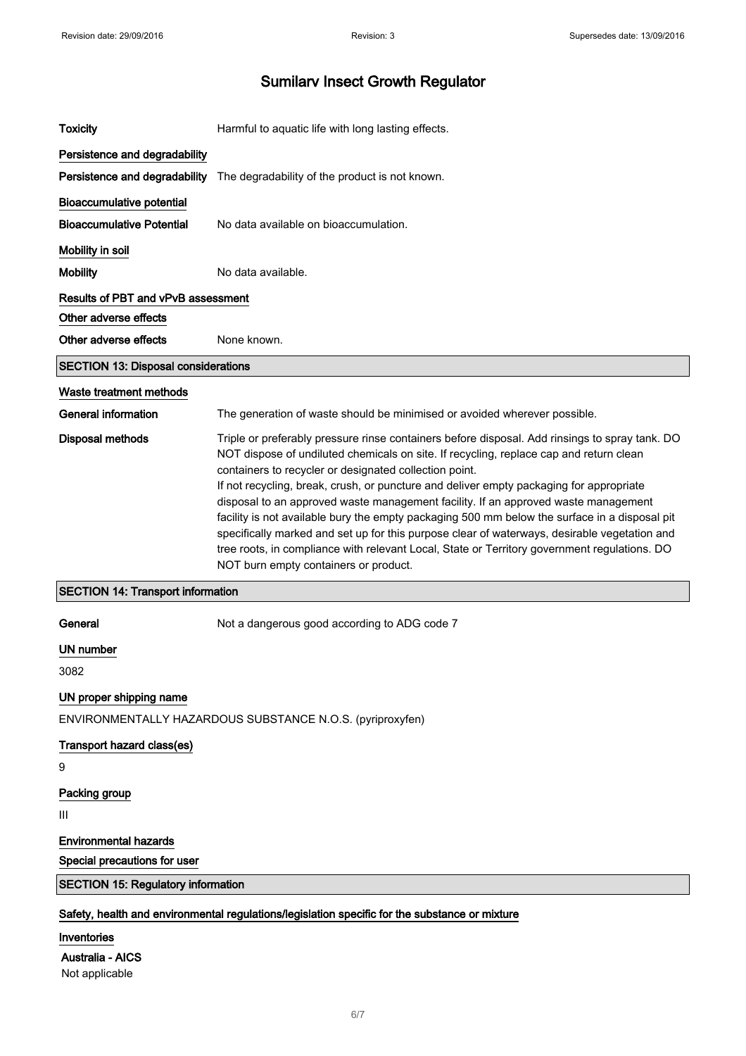| <b>Toxicity</b>                                                                                | Harmful to aquatic life with long lasting effects.                                                                                                                                                                                                                                                                                                                                                                                  |
|------------------------------------------------------------------------------------------------|-------------------------------------------------------------------------------------------------------------------------------------------------------------------------------------------------------------------------------------------------------------------------------------------------------------------------------------------------------------------------------------------------------------------------------------|
| Persistence and degradability                                                                  |                                                                                                                                                                                                                                                                                                                                                                                                                                     |
| Persistence and degradability                                                                  | The degradability of the product is not known.                                                                                                                                                                                                                                                                                                                                                                                      |
| <b>Bioaccumulative potential</b>                                                               |                                                                                                                                                                                                                                                                                                                                                                                                                                     |
| <b>Bioaccumulative Potential</b>                                                               | No data available on bioaccumulation.                                                                                                                                                                                                                                                                                                                                                                                               |
| Mobility in soil                                                                               |                                                                                                                                                                                                                                                                                                                                                                                                                                     |
| <b>Mobility</b>                                                                                | No data available.                                                                                                                                                                                                                                                                                                                                                                                                                  |
| <b>Results of PBT and vPvB assessment</b>                                                      |                                                                                                                                                                                                                                                                                                                                                                                                                                     |
| Other adverse effects                                                                          |                                                                                                                                                                                                                                                                                                                                                                                                                                     |
| Other adverse effects                                                                          | None known.                                                                                                                                                                                                                                                                                                                                                                                                                         |
| <b>SECTION 13: Disposal considerations</b>                                                     |                                                                                                                                                                                                                                                                                                                                                                                                                                     |
| Waste treatment methods                                                                        |                                                                                                                                                                                                                                                                                                                                                                                                                                     |
| General information                                                                            | The generation of waste should be minimised or avoided wherever possible.                                                                                                                                                                                                                                                                                                                                                           |
| <b>Disposal methods</b>                                                                        | Triple or preferably pressure rinse containers before disposal. Add rinsings to spray tank. DO<br>NOT dispose of undiluted chemicals on site. If recycling, replace cap and return clean<br>containers to recycler or designated collection point.<br>If not recycling, break, crush, or puncture and deliver empty packaging for appropriate<br>disposal to an approved waste management facility. If an approved waste management |
|                                                                                                | facility is not available bury the empty packaging 500 mm below the surface in a disposal pit<br>specifically marked and set up for this purpose clear of waterways, desirable vegetation and<br>tree roots, in compliance with relevant Local, State or Territory government regulations. DO<br>NOT burn empty containers or product.                                                                                              |
| <b>SECTION 14: Transport information</b>                                                       |                                                                                                                                                                                                                                                                                                                                                                                                                                     |
| General                                                                                        | Not a dangerous good according to ADG code 7                                                                                                                                                                                                                                                                                                                                                                                        |
| UN number                                                                                      |                                                                                                                                                                                                                                                                                                                                                                                                                                     |
| 3082                                                                                           |                                                                                                                                                                                                                                                                                                                                                                                                                                     |
| UN proper shipping name                                                                        |                                                                                                                                                                                                                                                                                                                                                                                                                                     |
|                                                                                                | ENVIRONMENTALLY HAZARDOUS SUBSTANCE N.O.S. (pyriproxyfen)                                                                                                                                                                                                                                                                                                                                                                           |
| Transport hazard class(es)                                                                     |                                                                                                                                                                                                                                                                                                                                                                                                                                     |
| 9                                                                                              |                                                                                                                                                                                                                                                                                                                                                                                                                                     |
| Packing group                                                                                  |                                                                                                                                                                                                                                                                                                                                                                                                                                     |
| Ш                                                                                              |                                                                                                                                                                                                                                                                                                                                                                                                                                     |
| <b>Environmental hazards</b>                                                                   |                                                                                                                                                                                                                                                                                                                                                                                                                                     |
| Special precautions for user                                                                   |                                                                                                                                                                                                                                                                                                                                                                                                                                     |
| <b>SECTION 15: Regulatory information</b>                                                      |                                                                                                                                                                                                                                                                                                                                                                                                                                     |
| Safety, health and environmental regulations/legislation specific for the substance or mixture |                                                                                                                                                                                                                                                                                                                                                                                                                                     |
| Inventories                                                                                    |                                                                                                                                                                                                                                                                                                                                                                                                                                     |
| <b>Australia - AICS</b>                                                                        |                                                                                                                                                                                                                                                                                                                                                                                                                                     |